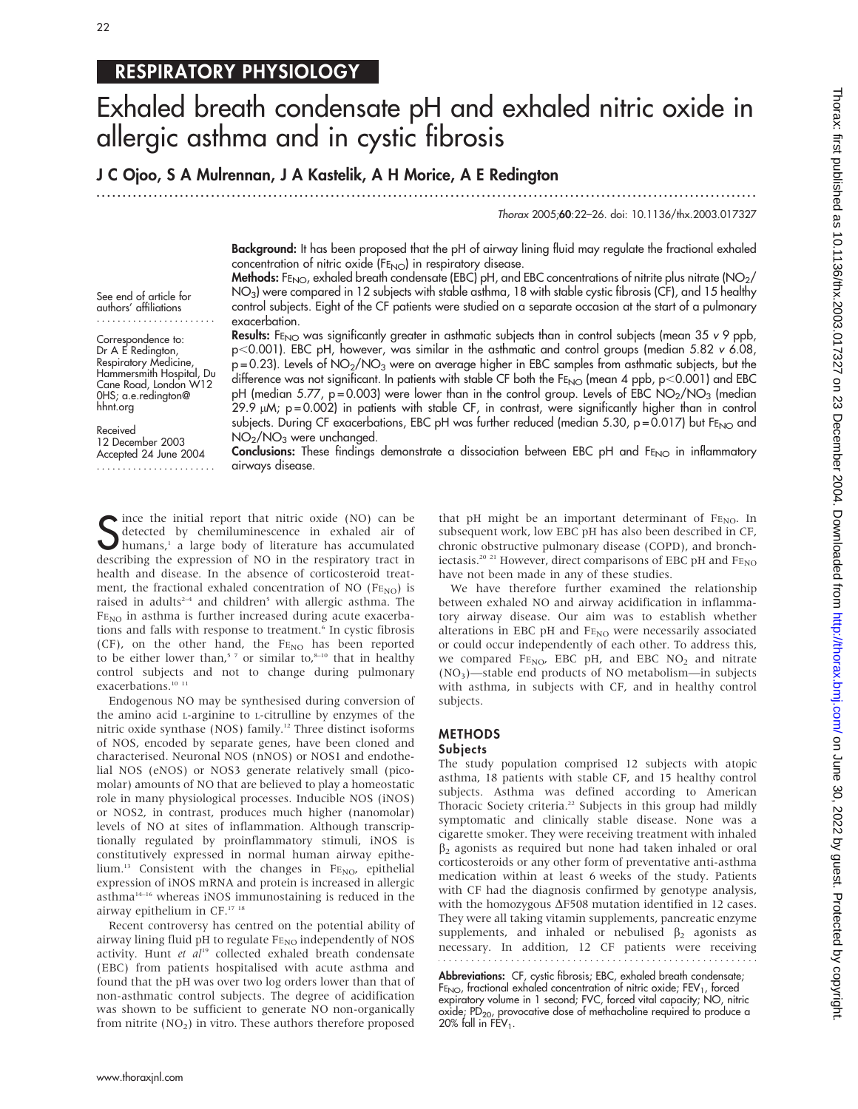# RESPIRATORY PHYSIOLOGY

# Exhaled breath condensate pH and exhaled nitric oxide in allergic asthma and in cystic fibrosis

J C Ojoo, S A Mulrennan, J A Kastelik, A H Morice, A E Redington

...............................................................................................................................

Thorax 2005;60:22–26. doi: 10.1136/thx.2003.017327

Background: It has been proposed that the pH of airway lining fluid may regulate the fractional exhaled concentration of nitric oxide  $(FE<sub>NO</sub>)$  in respiratory disease.

Methods: FE<sub>NO</sub>, exhaled breath condensate (EBC) pH, and EBC concentrations of nitrite plus nitrate (NO<sub>2</sub>/ NO<sub>3</sub>) were compared in 12 subjects with stable asthma, 18 with stable cystic fibrosis (CF), and 15 healthy control subjects. Eight of the CF patients were studied on a separate occasion at the start of a pulmonary exacerbation.

See end of article for authors' affiliations .......................

Correspondence to: Dr A E Redington, Respiratory Medicine, Hammersmith Hospital, Du Cane Road, London W12 0HS; a.e.redington@ hhnt.org

Received 12 December 2003 Accepted 24 June 2004 ....................... **Results:** FE<sub>NO</sub> was significantly greater in asthmatic subjects than in control subjects (mean 35 v 9 ppb,  $p<0.001$ ). EBC pH, however, was similar in the asthmatic and control groups (median 5.82 v 6.08,  $p = 0.23$ ). Levels of NO<sub>2</sub>/NO<sub>3</sub> were on average higher in EBC samples from asthmatic subjects, but the difference was not significant. In patients with stable CF both the  $FE_{NO}$  (mean 4 ppb,  $p < 0.001$ ) and EBC pH (median 5.77,  $p = 0.003$ ) were lower than in the control group. Levels of EBC NO<sub>2</sub>/NO<sub>3</sub> (median  $29.9 \mu$ M; p=0.002) in patients with stable CF, in contrast, were significantly higher than in control subjects. During CF exacerbations, EBC pH was further reduced (median 5.30,  $p = 0.017$ ) but FE<sub>NO</sub> and NO2/NO3 were unchanged.

Conclusions: These findings demonstrate a dissociation between EBC pH and FENO in inflammatory airways disease.

Since the initial report that nitric oxide (NO) can be<br>detected by chemiluminescence in exhaled air of<br>humans,<sup>1</sup> a large body of literature has accumulated<br>describing the expression of NO in the required to the t detected by chemiluminescence in exhaled air of humans,<sup>1</sup> a large body of literature has accumulated describing the expression of NO in the respiratory tract in health and disease. In the absence of corticosteroid treatment, the fractional exhaled concentration of NO (FENO) is raised in adults<sup>2-4</sup> and children<sup>5</sup> with allergic asthma. The  $FE<sub>NO</sub>$  in asthma is further increased during acute exacerbations and falls with response to treatment.<sup>6</sup> In cystic fibrosis (CF), on the other hand, the  $FE_{NO}$  has been reported to be either lower than,<sup>57</sup> or similar to, $8-10$  that in healthy control subjects and not to change during pulmonary exacerbations.<sup>10 11</sup>

Endogenous NO may be synthesised during conversion of the amino acid L-arginine to L-citrulline by enzymes of the nitric oxide synthase (NOS) family.12 Three distinct isoforms of NOS, encoded by separate genes, have been cloned and characterised. Neuronal NOS (nNOS) or NOS1 and endothelial NOS (eNOS) or NOS3 generate relatively small (picomolar) amounts of NO that are believed to play a homeostatic role in many physiological processes. Inducible NOS (iNOS) or NOS2, in contrast, produces much higher (nanomolar) levels of NO at sites of inflammation. Although transcriptionally regulated by proinflammatory stimuli, iNOS is constitutively expressed in normal human airway epithelium.<sup>13</sup> Consistent with the changes in FE<sub>NO</sub>, epithelial expression of iNOS mRNA and protein is increased in allergic asthma14–16 whereas iNOS immunostaining is reduced in the airway epithelium in CF.17 18

Recent controversy has centred on the potential ability of airway lining fluid pH to regulate  $FE_{NO}$  independently of NOS activity. Hunt et  $al^{19}$  collected exhaled breath condensate (EBC) from patients hospitalised with acute asthma and found that the pH was over two log orders lower than that of non-asthmatic control subjects. The degree of acidification was shown to be sufficient to generate NO non-organically from nitrite  $(NO<sub>2</sub>)$  in vitro. These authors therefore proposed that pH might be an important determinant of  $F_{\text{ENO}}$ . In subsequent work, low EBC pH has also been described in CF, chronic obstructive pulmonary disease (COPD), and bronchiectasis.<sup>20 21</sup> However, direct comparisons of EBC pH and  $\text{FE}_\text{NO}$ have not been made in any of these studies.

We have therefore further examined the relationship between exhaled NO and airway acidification in inflammatory airway disease. Our aim was to establish whether alterations in EBC pH and  $FE_{NO}$  were necessarily associated or could occur independently of each other. To address this, we compared  $FE_{NO}$ , EBC pH, and EBC NO<sub>2</sub> and nitrate  $(NO<sub>3</sub>)$ —stable end products of NO metabolism—in subjects with asthma, in subjects with CF, and in healthy control subjects.

# **METHODS**

### Subjects

The study population comprised 12 subjects with atopic asthma, 18 patients with stable CF, and 15 healthy control subjects. Asthma was defined according to American Thoracic Society criteria.<sup>22</sup> Subjects in this group had mildly symptomatic and clinically stable disease. None was a cigarette smoker. They were receiving treatment with inhaled  $\beta_2$  agonists as required but none had taken inhaled or oral corticosteroids or any other form of preventative anti-asthma medication within at least 6 weeks of the study. Patients with CF had the diagnosis confirmed by genotype analysis, with the homozygous  $\Delta$ F508 mutation identified in 12 cases. They were all taking vitamin supplements, pancreatic enzyme supplements, and inhaled or nebulised  $\beta_2$  agonists as necessary. In addition, 12 CF patients were receiving 

Abbreviations: CF, cystic fibrosis; EBC, exhaled breath condensate;  $FE_{NO}$ , fractional exhaled concentration of nitric oxide;  $FEV_1$ , forced expiratory volume in 1 second; FVC, forced vital capacity; NO, nitric oxide;  $PD_{20}$ , provocative dose of methacholine required to produce a 20% fall in  $FEV_1$ .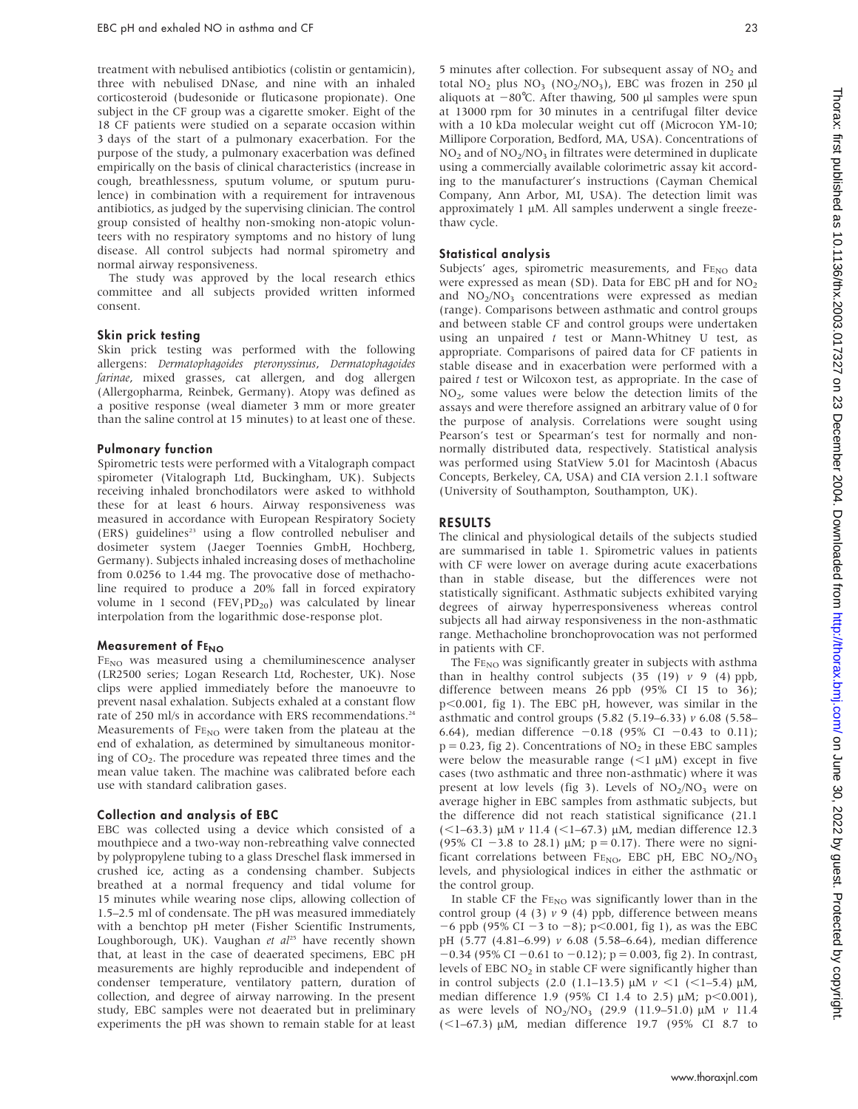treatment with nebulised antibiotics (colistin or gentamicin), three with nebulised DNase, and nine with an inhaled corticosteroid (budesonide or fluticasone propionate). One subject in the CF group was a cigarette smoker. Eight of the 18 CF patients were studied on a separate occasion within 3 days of the start of a pulmonary exacerbation. For the purpose of the study, a pulmonary exacerbation was defined empirically on the basis of clinical characteristics (increase in cough, breathlessness, sputum volume, or sputum purulence) in combination with a requirement for intravenous antibiotics, as judged by the supervising clinician. The control group consisted of healthy non-smoking non-atopic volunteers with no respiratory symptoms and no history of lung disease. All control subjects had normal spirometry and normal airway responsiveness.

The study was approved by the local research ethics committee and all subjects provided written informed consent.

#### Skin prick testing

Skin prick testing was performed with the following allergens: Dermatophagoides pteronyssinus, Dermatophagoides farinae, mixed grasses, cat allergen, and dog allergen (Allergopharma, Reinbek, Germany). Atopy was defined as a positive response (weal diameter 3 mm or more greater than the saline control at 15 minutes) to at least one of these.

#### Pulmonary function

Spirometric tests were performed with a Vitalograph compact spirometer (Vitalograph Ltd, Buckingham, UK). Subjects receiving inhaled bronchodilators were asked to withhold these for at least 6 hours. Airway responsiveness was measured in accordance with European Respiratory Society (ERS) guidelines<sup>23</sup> using a flow controlled nebuliser and dosimeter system (Jaeger Toennies GmbH, Hochberg, Germany). Subjects inhaled increasing doses of methacholine from 0.0256 to 1.44 mg. The provocative dose of methacholine required to produce a 20% fall in forced expiratory volume in 1 second (FEV<sub>1</sub>PD<sub>20</sub>) was calculated by linear interpolation from the logarithmic dose-response plot.

#### Measurement of FENO

FE<sub>NO</sub> was measured using a chemiluminescence analyser (LR2500 series; Logan Research Ltd, Rochester, UK). Nose clips were applied immediately before the manoeuvre to prevent nasal exhalation. Subjects exhaled at a constant flow rate of 250 ml/s in accordance with ERS recommendations.<sup>24</sup> Measurements of  $F_{END}$  were taken from the plateau at the end of exhalation, as determined by simultaneous monitoring of  $CO<sub>2</sub>$ . The procedure was repeated three times and the mean value taken. The machine was calibrated before each use with standard calibration gases.

#### Collection and analysis of EBC

EBC was collected using a device which consisted of a mouthpiece and a two-way non-rebreathing valve connected by polypropylene tubing to a glass Dreschel flask immersed in crushed ice, acting as a condensing chamber. Subjects breathed at a normal frequency and tidal volume for 15 minutes while wearing nose clips, allowing collection of 1.5–2.5 ml of condensate. The pH was measured immediately with a benchtop pH meter (Fisher Scientific Instruments, Loughborough, UK). Vaughan et  $al^{25}$  have recently shown that, at least in the case of deaerated specimens, EBC pH measurements are highly reproducible and independent of condenser temperature, ventilatory pattern, duration of collection, and degree of airway narrowing. In the present study, EBC samples were not deaerated but in preliminary experiments the pH was shown to remain stable for at least

5 minutes after collection. For subsequent assay of  $NO<sub>2</sub>$  and total  $NO<sub>2</sub>$  plus  $NO<sub>3</sub>$  ( $NO<sub>2</sub>/NO<sub>3</sub>$ ), EBC was frozen in 250  $\mu$ l aliquots at  $-80^{\circ}$ C. After thawing, 500 µl samples were spun at 13000 rpm for 30 minutes in a centrifugal filter device with a 10 kDa molecular weight cut off (Microcon YM-10; Millipore Corporation, Bedford, MA, USA). Concentrations of  $NO<sub>2</sub>$  and of  $NO<sub>2</sub>/NO<sub>3</sub>$  in filtrates were determined in duplicate using a commercially available colorimetric assay kit according to the manufacturer's instructions (Cayman Chemical Company, Ann Arbor, MI, USA). The detection limit was approximately  $1 \mu$ M. All samples underwent a single freezethaw cycle.

#### Statistical analysis

Subjects' ages, spirometric measurements, and  $F_{END}$  data were expressed as mean (SD). Data for EBC pH and for  $NO<sub>2</sub>$ and  $NO<sub>2</sub>/NO<sub>3</sub>$  concentrations were expressed as median (range). Comparisons between asthmatic and control groups and between stable CF and control groups were undertaken using an unpaired  $t$  test or Mann-Whitney U test, as appropriate. Comparisons of paired data for CF patients in stable disease and in exacerbation were performed with a paired t test or Wilcoxon test, as appropriate. In the case of  $NO<sub>2</sub>$ , some values were below the detection limits of the assays and were therefore assigned an arbitrary value of 0 for the purpose of analysis. Correlations were sought using Pearson's test or Spearman's test for normally and nonnormally distributed data, respectively. Statistical analysis was performed using StatView 5.01 for Macintosh (Abacus Concepts, Berkeley, CA, USA) and CIA version 2.1.1 software (University of Southampton, Southampton, UK).

#### RESULTS

The clinical and physiological details of the subjects studied are summarised in table 1. Spirometric values in patients with CF were lower on average during acute exacerbations than in stable disease, but the differences were not statistically significant. Asthmatic subjects exhibited varying degrees of airway hyperresponsiveness whereas control subjects all had airway responsiveness in the non-asthmatic range. Methacholine bronchoprovocation was not performed in patients with CF.

The FE<sub>NO</sub> was significantly greater in subjects with asthma than in healthy control subjects  $(35 (19) v 9 (4) ppb,$ difference between means 26 ppb (95% CI 15 to 36); p<0.001, fig 1). The EBC pH, however, was similar in the asthmatic and control groups (5.82 (5.19–6.33) v 6.08 (5.58– 6.64), median difference  $-0.18$  (95% CI  $-0.43$  to 0.11);  $p = 0.23$ , fig 2). Concentrations of  $NO<sub>2</sub>$  in these EBC samples were below the measurable range  $(<1 \mu M)$  except in five cases (two asthmatic and three non-asthmatic) where it was present at low levels (fig 3). Levels of  $NO<sub>2</sub>/NO<sub>3</sub>$  were on average higher in EBC samples from asthmatic subjects, but the difference did not reach statistical significance (21.1 (<1-63.3)  $\mu$ M *v* 11.4 (<1-67.3)  $\mu$ M, median difference 12.3 (95% CI -3.8 to 28.1)  $\mu$ M; p = 0.17). There were no significant correlations between  $FE_{NO}$ , EBC pH, EBC  $NO<sub>2</sub>/NO<sub>3</sub>$ levels, and physiological indices in either the asthmatic or the control group.

In stable CF the  $\rm Fe_{NO}$  was significantly lower than in the control group  $(4 \t3)$   $\nu$  9  $(4)$  ppb, difference between means  $-6$  ppb (95% CI  $-3$  to  $-8$ ); p $< 0.001$ , fig 1), as was the EBC pH (5.77 (4.81–6.99) v 6.08 (5.58–6.64), median difference  $-0.34$  (95% CI  $-0.61$  to  $-0.12$ ); p = 0.003, fig 2). In contrast, levels of EBC  $NO<sub>2</sub>$  in stable CF were significantly higher than in control subjects (2.0 (1.1–13.5)  $\mu$ M  $\nu$  <1 (<1–5.4)  $\mu$ M, median difference 1.9 (95% CI 1.4 to 2.5)  $\mu$ M;  $p < 0.001$ ), as were levels of  $NO<sub>2</sub>/NO<sub>3</sub>$  (29.9 (11.9–51.0)  $\mu$ M v 11.4  $(<1-67.3)$  µM, median difference 19.7 (95% CI 8.7 to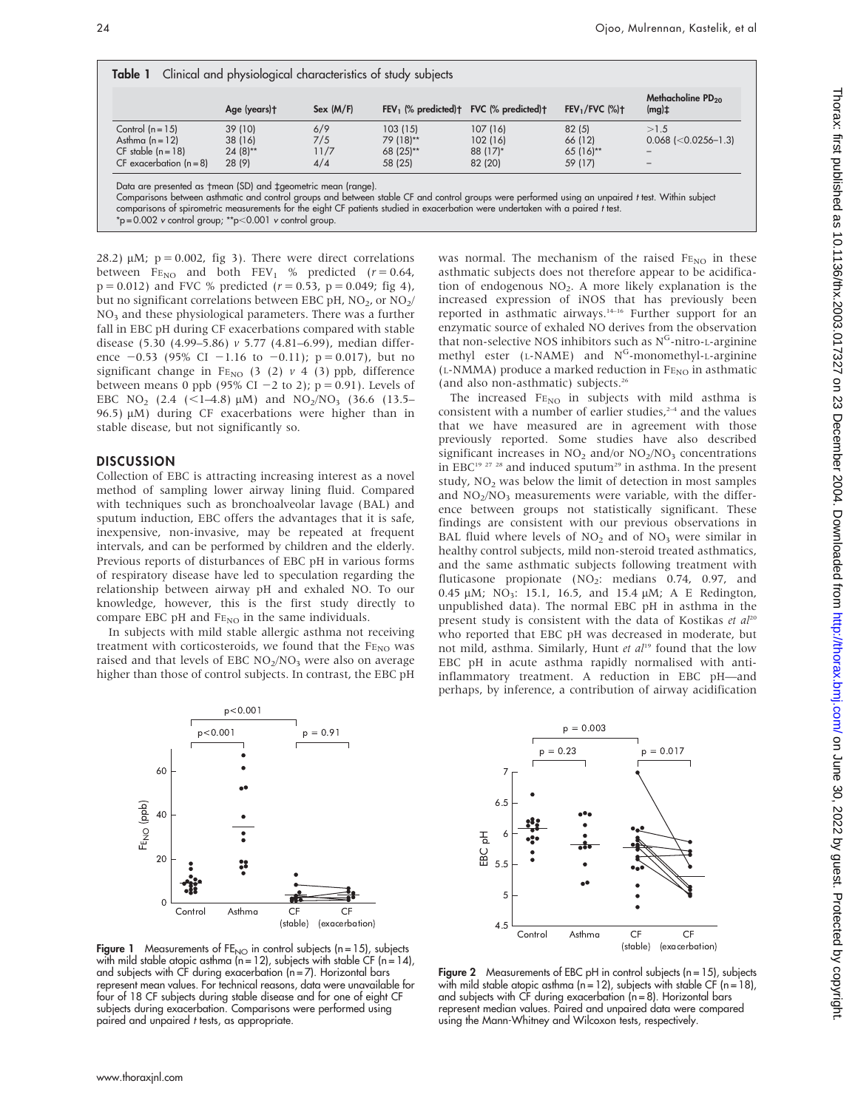|                             | Age (years)t | Sex (M/F) | $FEV1$ (% predicted) $\dagger$ FVC (% predicted) $\dagger$ |          | $FEV1/FVC$ (%)+ | Methacholine PD <sub>20</sub><br>$(mg)$ ‡ |
|-----------------------------|--------------|-----------|------------------------------------------------------------|----------|-----------------|-------------------------------------------|
| Control $(n = 15)$          | 39 (10)      | 6/9       | 103(15)                                                    | 107 (16) | 82(5)           | >1.5                                      |
| Asthma $(n = 12)$           | 38 (16)      | 7/5       | 79 (18)**                                                  | 102 (16) | 66 (12)         | $0.068$ ( $< 0.0256 - 1.3$ )              |
| $CF$ stable $(n = 18)$      | $24(8)$ **   | 11/7      | $68(25)$ **                                                | 88 (17)* | $65(16)$ **     |                                           |
| $CF$ exacerbation $(n = 8)$ | 28 (9)       | 4/4       | 58 (25)                                                    | 82 (20)  | 59 (17)         |                                           |

 $p = 0.002$  v control group; \*\*p $< 0.001$  v control group

28.2)  $\mu$ M;  $p = 0.002$ , fig 3). There were direct correlations between  $FE_{NO}$  and both  $FEV_1$  % predicted ( $r = 0.64$ ,  $p = 0.012$ ) and FVC % predicted ( $r = 0.53$ ,  $p = 0.049$ ; fig 4), but no significant correlations between EBC pH,  $NO<sub>2</sub>$ , or  $NO<sub>2</sub>/$ NO3 and these physiological parameters. There was a further fall in EBC pH during CF exacerbations compared with stable disease (5.30 (4.99–5.86) v 5.77 (4.81–6.99), median difference  $-0.53$  (95% CI  $-1.16$  to  $-0.11$ ); p = 0.017), but no significant change in F<sub>ENO</sub> (3 (2)  $\nu$  4 (3) ppb, difference between means 0 ppb (95% CI  $-2$  to 2); p = 0.91). Levels of EBC NO<sub>2</sub> (2.4 (<1-4.8)  $\mu$ M) and NO<sub>2</sub>/NO<sub>3</sub> (36.6 (13.5– 96.5)  $\mu$ M) during CF exacerbations were higher than in stable disease, but not significantly so.

#### DISCUSSION

Collection of EBC is attracting increasing interest as a novel method of sampling lower airway lining fluid. Compared with techniques such as bronchoalveolar lavage (BAL) and sputum induction, EBC offers the advantages that it is safe, inexpensive, non-invasive, may be repeated at frequent intervals, and can be performed by children and the elderly. Previous reports of disturbances of EBC pH in various forms of respiratory disease have led to speculation regarding the relationship between airway pH and exhaled NO. To our knowledge, however, this is the first study directly to compare EBC pH and  $FE_{NO}$  in the same individuals.

In subjects with mild stable allergic asthma not receiving treatment with corticosteroids, we found that the  $FE<sub>NO</sub>$  was raised and that levels of EBC  $NO<sub>2</sub>/NO<sub>3</sub>$  were also on average higher than those of control subjects. In contrast, the EBC pH



**Figure 1** Measurements of  $FE_{NO}$  in control subjects (n = 15), subjects with mild stable atopic asthma ( $n = 12$ ), subjects with stable CF ( $n = 14$ ), and subjects with CF during exacerbation (n = 7). Horizontal bars represent mean values. For technical reasons, data were unavailable for four of 18 CF subjects during stable disease and for one of eight CF subjects during exacerbation. Comparisons were performed using paired and unpaired t tests, as appropriate.

was normal. The mechanism of the raised  $FE_{NO}$  in these asthmatic subjects does not therefore appear to be acidification of endogenous  $NO<sub>2</sub>$ . A more likely explanation is the increased expression of iNOS that has previously been reported in asthmatic airways.<sup>14-16</sup> Further support for an enzymatic source of exhaled NO derives from the observation that non-selective NOS inhibitors such as  $N<sup>G</sup>$ -nitro-L-arginine methyl ester ( $L-NAME$ ) and  $N<sup>G</sup>$ -monomethyl- $L-arginine$  $(L-NMMA)$  produce a marked reduction in  $FE_{NO}$  in asthmatic (and also non-asthmatic) subjects.26

The increased  $FE_{NO}$  in subjects with mild asthma is consistent with a number of earlier studies, $24$  and the values that we have measured are in agreement with those previously reported. Some studies have also described significant increases in  $NO<sub>2</sub>$  and/or  $NO<sub>2</sub>/NO<sub>3</sub>$  concentrations in EBC<sup>19 27</sup> <sup>28</sup> and induced sputum<sup>29</sup> in asthma. In the present study, NO<sub>2</sub> was below the limit of detection in most samples and  $NO<sub>2</sub>/NO<sub>3</sub>$  measurements were variable, with the difference between groups not statistically significant. These findings are consistent with our previous observations in BAL fluid where levels of  $NO<sub>2</sub>$  and of  $NO<sub>3</sub>$  were similar in healthy control subjects, mild non-steroid treated asthmatics, and the same asthmatic subjects following treatment with fluticasone propionate  $(NO<sub>2</sub>:$  medians 0.74, 0.97, and 0.45 μM; NO<sub>3</sub>: 15.1, 16.5, and 15.4 μM; A E Redington, unpublished data). The normal EBC pH in asthma in the present study is consistent with the data of Kostikas et  $al^{20}$ who reported that EBC pH was decreased in moderate, but not mild, asthma. Similarly, Hunt et al<sup>19</sup> found that the low EBC pH in acute asthma rapidly normalised with antiinflammatory treatment. A reduction in EBC pH—and perhaps, by inference, a contribution of airway acidification



**Figure 2** Measurements of EBC pH in control subjects ( $n = 15$ ), subjects with mild stable atopic asthma ( $n = 12$ ), subjects with stable CF ( $n = 18$ ), and subjects with CF during exacerbation  $(n = 8)$ . Horizontal bars represent median values. Paired and unpaired data were compared using the Mann-Whitney and Wilcoxon tests, respectively.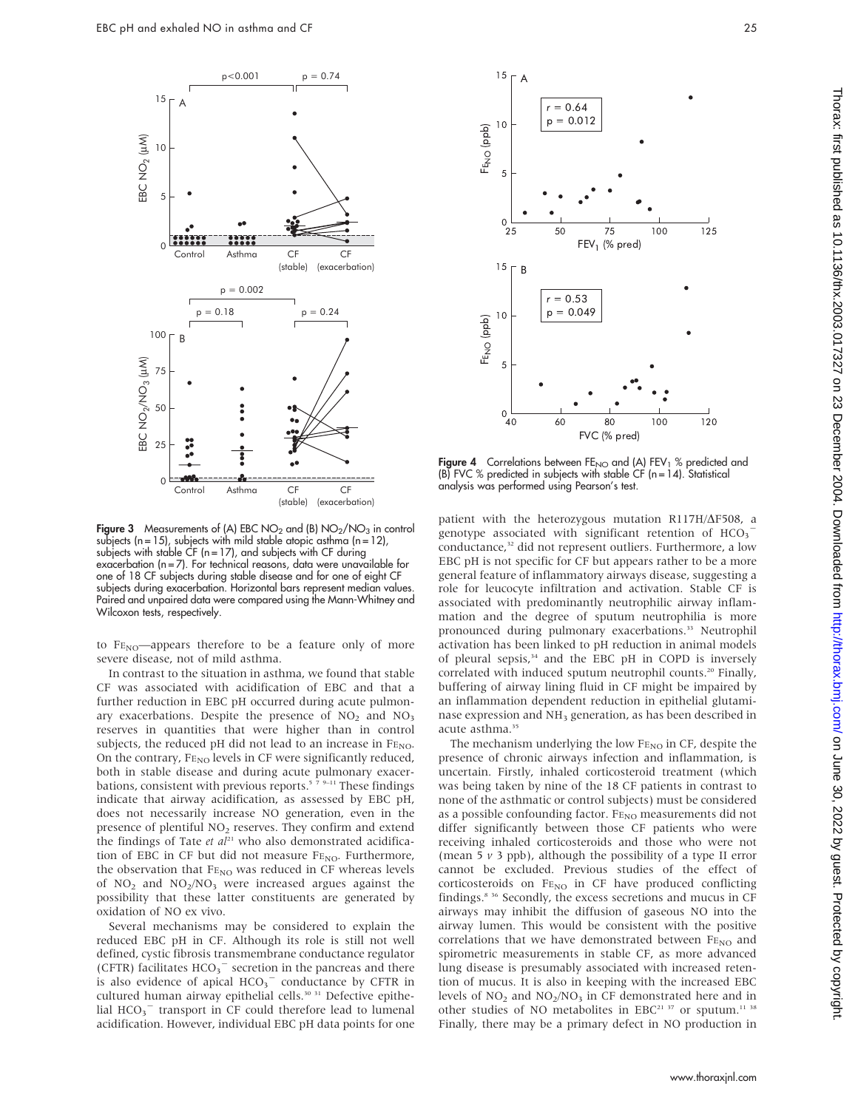

Figure 3 Measurements of (A) EBC NO<sub>2</sub> and (B) NO<sub>2</sub>/NO<sub>3</sub> in control subjects ( $n = 15$ ), subjects with mild stable atopic asthma ( $n = 12$ ), subjects with stable  $CF$  (n = 17), and subjects with  $CF$  during exacerbation (n = 7). For technical reasons, data were unavailable for one of 18 CF subjects during stable disease and for one of eight CF subjects during exacerbation. Horizontal bars represent median values. Paired and unpaired data were compared using the Mann-Whitney and Wilcoxon tests, respectively.

to  $FE_{NO}$ —appears therefore to be a feature only of more severe disease, not of mild asthma.

In contrast to the situation in asthma, we found that stable CF was associated with acidification of EBC and that a further reduction in EBC pH occurred during acute pulmonary exacerbations. Despite the presence of  $NO<sub>2</sub>$  and  $NO<sub>3</sub>$ reserves in quantities that were higher than in control subjects, the reduced pH did not lead to an increase in  $FE<sub>NO</sub>$ . On the contrary,  $F_{\text{ENO}}$  levels in CF were significantly reduced, both in stable disease and during acute pulmonary exacerbations, consistent with previous reports.<sup>5</sup>  $79-11$  These findings indicate that airway acidification, as assessed by EBC pH, does not necessarily increase NO generation, even in the presence of plentiful NO<sub>2</sub> reserves. They confirm and extend the findings of Tate et  $al^{21}$  who also demonstrated acidification of EBC in CF but did not measure  $F_{\text{ENO}}$ . Furthermore, the observation that FENO was reduced in CF whereas levels of  $NO<sub>2</sub>$  and  $NO<sub>2</sub>/NO<sub>3</sub>$  were increased argues against the possibility that these latter constituents are generated by oxidation of NO ex vivo.

Several mechanisms may be considered to explain the reduced EBC pH in CF. Although its role is still not well defined, cystic fibrosis transmembrane conductance regulator (CFTR) facilitates  $HCO<sub>3</sub><sup>-</sup>$  secretion in the pancreas and there is also evidence of apical  $HCO_3$ <sup>-</sup> conductance by CFTR in cultured human airway epithelial cells.<sup>30</sup><sup>31</sup> Defective epithelial  $HCO<sub>3</sub><sup>-</sup>$  transport in CF could therefore lead to lumenal acidification. However, individual EBC pH data points for one



**Figure 4** Correlations between FE<sub>NO</sub> and (A) FEV<sub>1</sub> % predicted and<br>(B) FVC % predicted in subjects with stable CF (n=14). Statistical analysis was performed using Pearson's test.

patient with the heterozygous mutation R117H/ $\Delta$ F508, a genotype associated with significant retention of  $HCO_3^$ conductance,<sup>32</sup> did not represent outliers. Furthermore, a low EBC pH is not specific for CF but appears rather to be a more general feature of inflammatory airways disease, suggesting a role for leucocyte infiltration and activation. Stable CF is associated with predominantly neutrophilic airway inflammation and the degree of sputum neutrophilia is more pronounced during pulmonary exacerbations.<sup>33</sup> Neutrophil activation has been linked to pH reduction in animal models of pleural sepsis,<sup>34</sup> and the EBC pH in COPD is inversely correlated with induced sputum neutrophil counts.<sup>20</sup> Finally, buffering of airway lining fluid in CF might be impaired by an inflammation dependent reduction in epithelial glutaminase expression and NH<sub>3</sub> generation, as has been described in acute asthma.<sup>35</sup>

The mechanism underlying the low  $F_{\text{ENO}}$  in CF, despite the presence of chronic airways infection and inflammation, is uncertain. Firstly, inhaled corticosteroid treatment (which was being taken by nine of the 18 CF patients in contrast to none of the asthmatic or control subjects) must be considered as a possible confounding factor.  $\mbox{F}\mbox{E}_{\rm NO}$  measurements did not differ significantly between those CF patients who were receiving inhaled corticosteroids and those who were not (mean 5  $\nu$  3 ppb), although the possibility of a type II error cannot be excluded. Previous studies of the effect of corticosteroids on FENO in CF have produced conflicting findings.8 36 Secondly, the excess secretions and mucus in CF airways may inhibit the diffusion of gaseous NO into the airway lumen. This would be consistent with the positive correlations that we have demonstrated between FENO and spirometric measurements in stable CF, as more advanced lung disease is presumably associated with increased retention of mucus. It is also in keeping with the increased EBC levels of  $NO<sub>2</sub>$  and  $NO<sub>2</sub>/NO<sub>3</sub>$  in CF demonstrated here and in other studies of NO metabolites in EBC<sup>21 37</sup> or sputum.<sup>11 38</sup> Finally, there may be a primary defect in NO production in